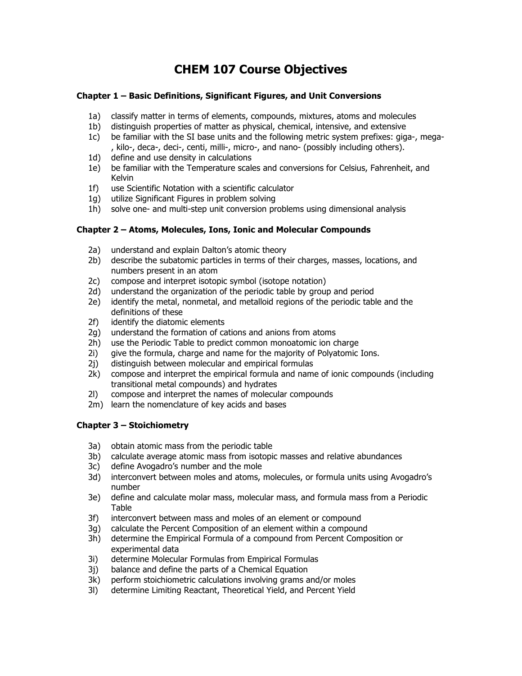# **CHEM 107 Course Objectives**

## **Chapter 1 – Basic Definitions, Significant Figures, and Unit Conversions**

- 1a) classify matter in terms of elements, compounds, mixtures, atoms and molecules
- 1b) distinguish properties of matter as physical, chemical, intensive, and extensive
- 1c) be familiar with the SI base units and the following metric system prefixes: giga-, mega- , kilo-, deca-, deci-, centi, milli-, micro-, and nano- (possibly including others).
- 1d) define and use density in calculations
- 1e) be familiar with the Temperature scales and conversions for Celsius, Fahrenheit, and Kelvin
- 1f) use Scientific Notation with a scientific calculator
- 1g) utilize Significant Figures in problem solving
- 1h) solve one- and multi-step unit conversion problems using dimensional analysis

## **Chapter 2 – Atoms, Molecules, Ions, Ionic and Molecular Compounds**

- 2a) understand and explain Dalton's atomic theory
- 2b) describe the subatomic particles in terms of their charges, masses, locations, and numbers present in an atom
- 2c) compose and interpret isotopic symbol (isotope notation)
- 2d) understand the organization of the periodic table by group and period
- 2e) identify the metal, nonmetal, and metalloid regions of the periodic table and the definitions of these
- 2f) identify the diatomic elements
- 2g) understand the formation of cations and anions from atoms
- 2h) use the Periodic Table to predict common monoatomic ion charge
- 2i) give the formula, charge and name for the majority of Polyatomic Ions.
- 2j) distinguish between molecular and empirical formulas
- 2k) compose and interpret the empirical formula and name of ionic compounds (including transitional metal compounds) and hydrates
- 2l) compose and interpret the names of molecular compounds
- 2m) learn the nomenclature of key acids and bases

## **Chapter 3 – Stoichiometry**

- 3a) obtain atomic mass from the periodic table
- 3b) calculate average atomic mass from isotopic masses and relative abundances
- 3c) define Avogadro's number and the mole
- 3d) interconvert between moles and atoms, molecules, or formula units using Avogadro's number
- 3e) define and calculate molar mass, molecular mass, and formula mass from a Periodic Table
- 3f) interconvert between mass and moles of an element or compound
- 3g) calculate the Percent Composition of an element within a compound
- 3h) determine the Empirical Formula of a compound from Percent Composition or experimental data
- 3i) determine Molecular Formulas from Empirical Formulas
- 3j) balance and define the parts of a Chemical Equation
- 3k) perform stoichiometric calculations involving grams and/or moles
- 3l) determine Limiting Reactant, Theoretical Yield, and Percent Yield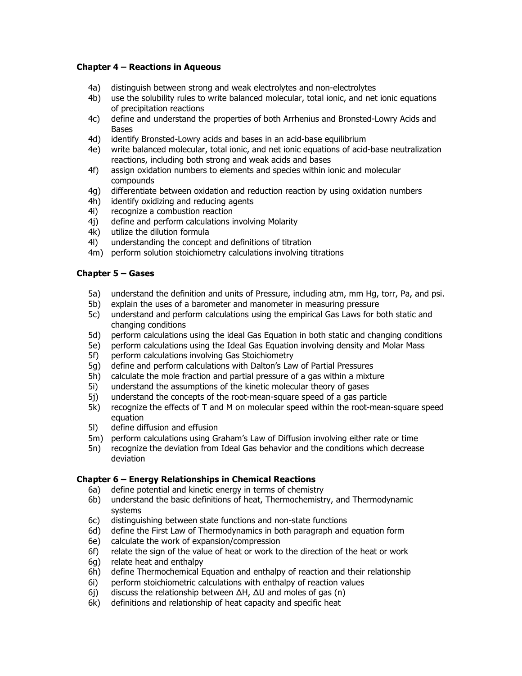## **Chapter 4 – Reactions in Aqueous**

- 4a) distinguish between strong and weak electrolytes and non-electrolytes
- 4b) use the solubility rules to write balanced molecular, total ionic, and net ionic equations of precipitation reactions
- 4c) define and understand the properties of both Arrhenius and Bronsted-Lowry Acids and Bases
- 4d) identify Bronsted-Lowry acids and bases in an acid-base equilibrium
- 4e) write balanced molecular, total ionic, and net ionic equations of acid-base neutralization reactions, including both strong and weak acids and bases
- 4f) assign oxidation numbers to elements and species within ionic and molecular compounds
- 4g) differentiate between oxidation and reduction reaction by using oxidation numbers
- 4h) identify oxidizing and reducing agents
- 4i) recognize a combustion reaction
- 4j) define and perform calculations involving Molarity
- 4k) utilize the dilution formula
- 4l) understanding the concept and definitions of titration
- 4m) perform solution stoichiometry calculations involving titrations

### **Chapter 5 – Gases**

- 5a) understand the definition and units of Pressure, including atm, mm Hg, torr, Pa, and psi.
- 5b) explain the uses of a barometer and manometer in measuring pressure
- 5c) understand and perform calculations using the empirical Gas Laws for both static and changing conditions
- 5d) perform calculations using the ideal Gas Equation in both static and changing conditions
- 5e) perform calculations using the Ideal Gas Equation involving density and Molar Mass
- 5f) perform calculations involving Gas Stoichiometry
- 5g) define and perform calculations with Dalton's Law of Partial Pressures
- 5h) calculate the mole fraction and partial pressure of a gas within a mixture
- 5i) understand the assumptions of the kinetic molecular theory of gases
- 5j) understand the concepts of the root-mean-square speed of a gas particle
- 5k) recognize the effects of T and M on molecular speed within the root-mean-square speed equation
- 5l) define diffusion and effusion
- 5m) perform calculations using Graham's Law of Diffusion involving either rate or time
- 5n) recognize the deviation from Ideal Gas behavior and the conditions which decrease deviation

#### **Chapter 6 – Energy Relationships in Chemical Reactions**

- 6a) define potential and kinetic energy in terms of chemistry
- 6b) understand the basic definitions of heat, Thermochemistry, and Thermodynamic systems
- 6c) distinguishing between state functions and non-state functions
- 6d) define the First Law of Thermodynamics in both paragraph and equation form
- 6e) calculate the work of expansion/compression
- 6f) relate the sign of the value of heat or work to the direction of the heat or work
- 6g) relate heat and enthalpy
- 6h) define Thermochemical Equation and enthalpy of reaction and their relationship
- 6i) perform stoichiometric calculations with enthalpy of reaction values
- 6j) discuss the relationship between ΔH, ΔU and moles of gas (n)
- 6k) definitions and relationship of heat capacity and specific heat